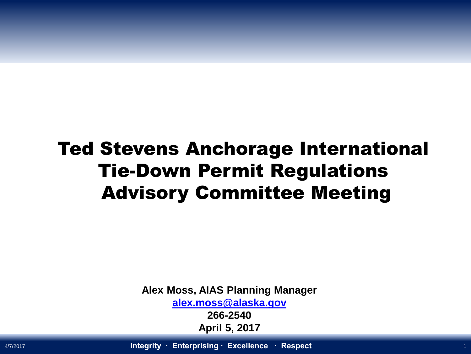### Ted Stevens Anchorage International Tie-Down Permit Regulations Advisory Committee Meeting

**Alex Moss, AIAS Planning Manager [alex.moss@alaska.gov](mailto:alex.moss@alaska.gov)**

> **266-2540 April 5, 2017**

4/7/2017 **Integrity ∙ Enterprising ∙ Excellence ∙ Respect** <sup>1</sup>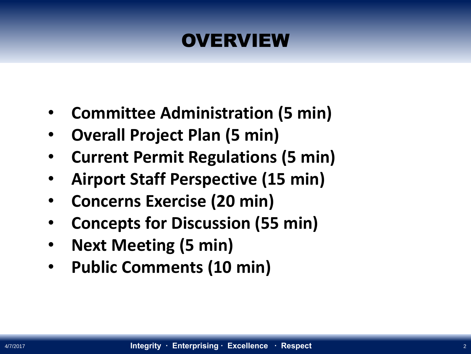### **OVERVIEW**

- **Committee Administration (5 min)**
- **Overall Project Plan (5 min)**
- **Current Permit Regulations (5 min)**
- **Airport Staff Perspective (15 min)**
- **Concerns Exercise (20 min)**
- **Concepts for Discussion (55 min)**
- **Next Meeting (5 min)**
- **Public Comments (10 min)**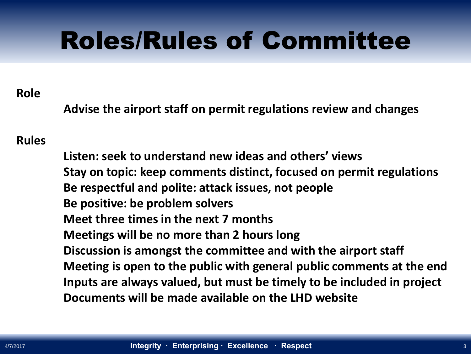## Roles/Rules of Committee

#### **Role**

**Advise the airport staff on permit regulations review and changes** 

#### **Rules**

**Listen: seek to understand new ideas and others' views Stay on topic: keep comments distinct, focused on permit regulations Be respectful and polite: attack issues, not people Be positive: be problem solvers Meet three times in the next 7 months Meetings will be no more than 2 hours long Discussion is amongst the committee and with the airport staff Meeting is open to the public with general public comments at the end Inputs are always valued, but must be timely to be included in project Documents will be made available on the LHD website**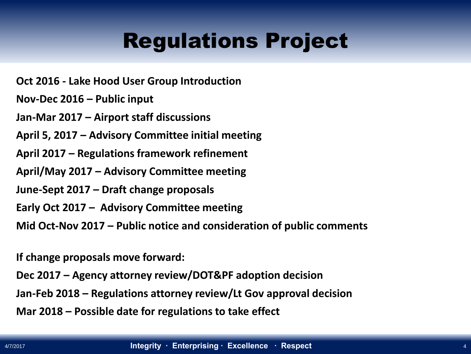## Regulations Project

**Oct 2016 - Lake Hood User Group Introduction**

**Nov-Dec 2016 – Public input**

**Jan-Mar 2017 – Airport staff discussions**

**April 5, 2017 – Advisory Committee initial meeting**

**April 2017 – Regulations framework refinement** 

**April/May 2017 – Advisory Committee meeting** 

**June-Sept 2017 – Draft change proposals** 

**Early Oct 2017 – Advisory Committee meeting**

**Mid Oct-Nov 2017 – Public notice and consideration of public comments**

**If change proposals move forward:**

**Dec 2017 – Agency attorney review/DOT&PF adoption decision**

**Jan-Feb 2018 – Regulations attorney review/Lt Gov approval decision**

**Mar 2018 – Possible date for regulations to take effect**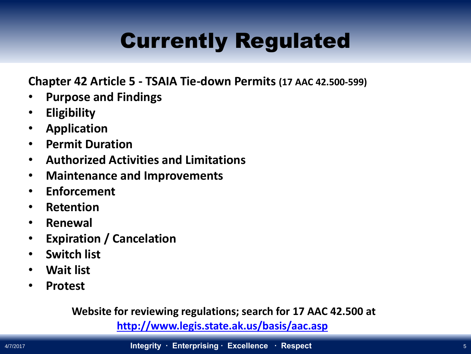## Currently Regulated

**Chapter 42 Article 5 - TSAIA Tie-down Permits (17 AAC 42.500-599)** 

- **Purpose and Findings**
- **Eligibility**
- **Application**
- **Permit Duration**
- **Authorized Activities and Limitations**
- **Maintenance and Improvements**
- **Enforcement**
- **Retention**
- **Renewal**
- **Expiration / Cancelation**
- **Switch list**
- **Wait list**
- **Protest**

**Website for reviewing regulations; search for 17 AAC 42.500 at**

**<http://www.legis.state.ak.us/basis/aac.asp>**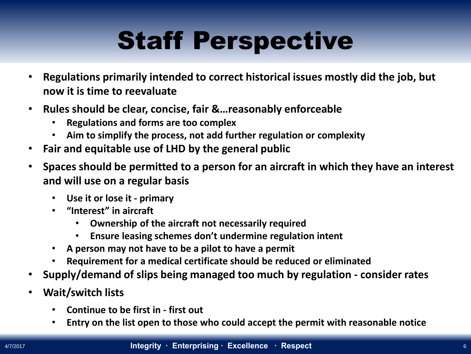# Staff Perspective

- **Regulations primarily intended to correct historical issues mostly did the job, but now it is time to reevaluate**
- **Rules should be clear, concise, fair &…reasonably enforceable**
	- **Regulations and forms are too complex**
	- **Aim to simplify the process, not add further regulation or complexity**
- **Fair and equitable use of LHD by the general public**
- **Spaces should be permitted to a person for an aircraft in which they have an interest and will use on a regular basis**
	- **Use it or lose it - primary**
	- **"Interest" in aircraft**
		- **Ownership of the aircraft not necessarily required**
		- **Ensure leasing schemes don't undermine regulation intent**
	- **A person may not have to be a pilot to have a permit**
	- **Requirement for a medical certificate should be reduced or eliminated**
- **Supply/demand of slips being managed too much by regulation - consider rates**
- **Wait/switch lists** 
	- **Continue to be first in - first out**
	- **Entry on the list open to those who could accept the permit with reasonable notice**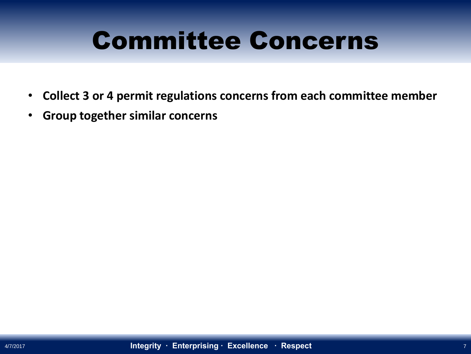## Committee Concerns

- **Collect 3 or 4 permit regulations concerns from each committee member**
- **Group together similar concerns**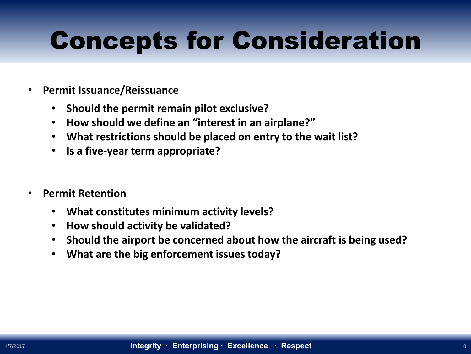# Concepts for Consideration

- **Permit Issuance/Reissuance**
	- **Should the permit remain pilot exclusive?**
	- **How should we define an "interest in an airplane?"**
	- **What restrictions should be placed on entry to the wait list?**
	- **Is a five-year term appropriate?**
- **Permit Retention**
	- **What constitutes minimum activity levels?**
	- **How should activity be validated?**
	- **Should the airport be concerned about how the aircraft is being used?**
	- **What are the big enforcement issues today?**